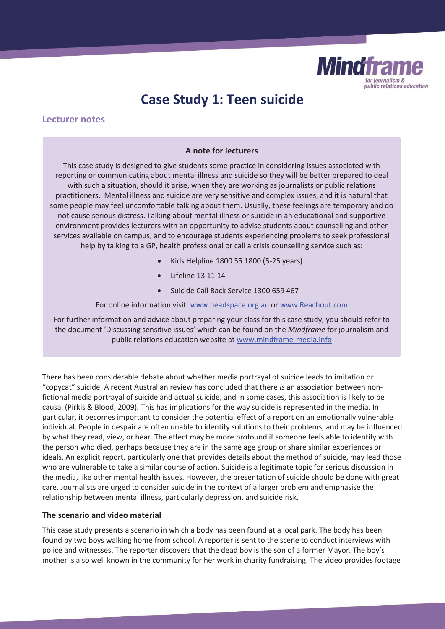

# **Case Study 1: Teen suicide**

# **Lecturer notes**

### **A note for lecturers**

This case study is designed to give students some practice in considering issues associated with reporting or communicating about mental illness and suicide so they will be better prepared to deal with such a situation, should it arise, when they are working as journalists or public relations practitioners. Mental illness and suicide are very sensitive and complex issues, and it is natural that some people may feel uncomfortable talking about them. Usually, these feelings are temporary and do not cause serious distress. Talking about mental illness or suicide in an educational and supportive environment provides lecturers with an opportunity to advise students about counselling and other services available on campus, and to encourage students experiencing problems to seek professional help by talking to a GP, health professional or call a crisis counselling service such as:

- x Kids Helpline 1800 55 1800 (5-25 years)
- x Lifeline 13 11 14
- Suicide Call Back Service 1300 659 467

For online information visit: www.headspace.org.au or www.Reachout.com

For further information and advice about preparing your class for this case study, you should refer to the document 'Discussing sensitive issues' which can be found on the *Mindframe* for journalism and public relations education website at www.mindframe-media.info

There has been considerable debate about whether media portrayal of suicide leads to imitation or "copycat" suicide. A recent Australian review has concluded that there *is* an association between nonfictional media portrayal of suicide and actual suicide, and in some cases, this association is likely to be causal (Pirkis & Blood, 2009)*.* This has implications for the way suicide is represented in the media. In particular, it becomes important to consider the potential effect of a report on an emotionally vulnerable individual. People in despair are often unable to identify solutions to their problems, and may be influenced by what they read, view, or hear. The effect may be more profound if someone feels able to identify with the person who died, perhaps because they are in the same age group or share similar experiences or ideals. An explicit report, particularly one that provides details about the method of suicide, may lead those who are vulnerable to take a similar course of action. Suicide is a legitimate topic for serious discussion in the media, like other mental health issues. However, the presentation of suicide should be done with great care. Journalists are urged to consider suicide in the context of a larger problem and emphasise the relationship between mental illness, particularly depression, and suicide risk.

# **The scenario and video material**

This case study presents a scenario in which a body has been found at a local park. The body has been found by two boys walking home from school. A reporter is sent to the scene to conduct interviews with police and witnesses. The reporter discovers that the dead boy is the son of a former Mayor. The boy's mother is also well known in the community for her work in charity fundraising. The video provides footage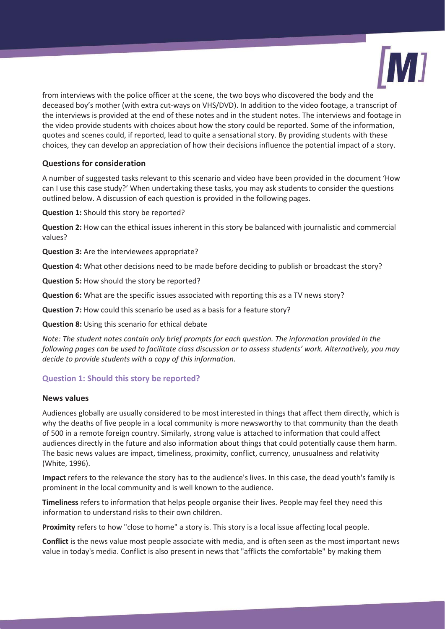

from interviews with the police officer at the scene, the two boys who discovered the body and the deceased boy's mother (with extra cut-ways on VHS/DVD). In addition to the video footage, a transcript of the interviews is provided at the end of these notes and in the student notes. The interviews and footage in the video provide students with choices about how the story could be reported. Some of the information, quotes and scenes could, if reported, lead to quite a sensational story. By providing students with these choices, they can develop an appreciation of how their decisions influence the potential impact of a story.

# **Questions for consideration**

A number of suggested tasks relevant to this scenario and video have been provided in the document 'How can I use this case study?' When undertaking these tasks, you may ask students to consider the questions outlined below. A discussion of each question is provided in the following pages.

**Question 1:** Should this story be reported?

**Question 2:** How can the ethical issues inherent in this story be balanced with journalistic and commercial values?

**Question 3:** Are the interviewees appropriate?

**Question 4:** What other decisions need to be made before deciding to publish or broadcast the story?

**Question 5:** How should the story be reported?

**Question 6:** What are the specific issues associated with reporting this as a TV news story?

**Question 7:** How could this scenario be used as a basis for a feature story?

**Question 8:** Using this scenario for ethical debate

*Note: The student notes contain only brief prompts for each question. The information provided in the following pages can be used to facilitate class discussion or to assess students' work. Alternatively, you may decide to provide students with a copy of this information.* 

# **Question 1: Should this story be reported?**

# **News values**

Audiences globally are usually considered to be most interested in things that affect them directly, which is why the deaths of five people in a local community is more newsworthy to that community than the death of 500 in a remote foreign country. Similarly, strong value is attached to information that could affect audiences directly in the future and also information about things that could potentially cause them harm. The basic news values are impact, timeliness, proximity, conflict, currency, unusualness and relativity (White, 1996).

**Impact** refers to the relevance the story has to the audience's lives. In this case, the dead youth's family is prominent in the local community and is well known to the audience.

**Timeliness** refers to information that helps people organise their lives. People may feel they need this information to understand risks to their own children.

**Proximity** refers to how "close to home" a story is. This story is a local issue affecting local people.

**Conflict** is the news value most people associate with media, and is often seen as the most important news value in today's media. Conflict is also present in news that "afflicts the comfortable" by making them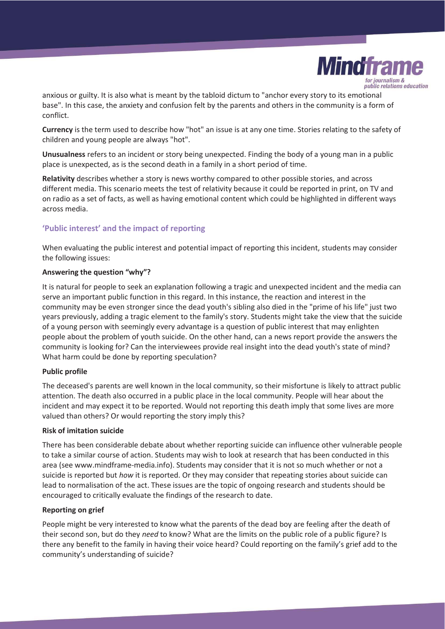

anxious or guilty. It is also what is meant by the tabloid dictum to "anchor every story to its emotional base". In this case, the anxiety and confusion felt by the parents and others in the community is a form of conflict.

**Currency** is the term used to describe how "hot" an issue is at any one time. Stories relating to the safety of children and young people are always "hot".

**Unusualness** refers to an incident or story being unexpected. Finding the body of a young man in a public place is unexpected, as is the second death in a family in a short period of time.

**Relativity** describes whether a story is news worthy compared to other possible stories, and across different media. This scenario meets the test of relativity because it could be reported in print, on TV and on radio as a set of facts, as well as having emotional content which could be highlighted in different ways across media.

# **'Public interest' and the impact of reporting**

When evaluating the public interest and potential impact of reporting this incident, students may consider the following issues:

# **Answering the question "why"?**

It is natural for people to seek an explanation following a tragic and unexpected incident and the media can serve an important public function in this regard. In this instance, the reaction and interest in the community may be even stronger since the dead youth's sibling also died in the "prime of his life" just two years previously, adding a tragic element to the family's story. Students might take the view that the suicide of a young person with seemingly every advantage is a question of public interest that may enlighten people about the problem of youth suicide. On the other hand, can a news report provide the answers the community is looking for? Can the interviewees provide real insight into the dead youth's state of mind? What harm could be done by reporting speculation?

# **Public profile**

The deceased's parents are well known in the local community, so their misfortune is likely to attract public attention. The death also occurred in a public place in the local community. People will hear about the incident and may expect it to be reported. Would not reporting this death imply that some lives are more valued than others? Or would reporting the story imply this?

# **Risk of imitation suicide**

There has been considerable debate about whether reporting suicide can influence other vulnerable people to take a similar course of action. Students may wish to look at research that has been conducted in this area (see www.mindframe-media.info). Students may consider that it is not so much whether or not a suicide is reported but *how* it is reported. Or they may consider that repeating stories about suicide can lead to normalisation of the act. These issues are the topic of ongoing research and students should be encouraged to critically evaluate the findings of the research to date.

# **Reporting on grief**

People might be very interested to know what the parents of the dead boy are feeling after the death of their second son, but do they *need* to know? What are the limits on the public role of a public figure? Is there any benefit to the family in having their voice heard? Could reporting on the family's grief add to the community's understanding of suicide?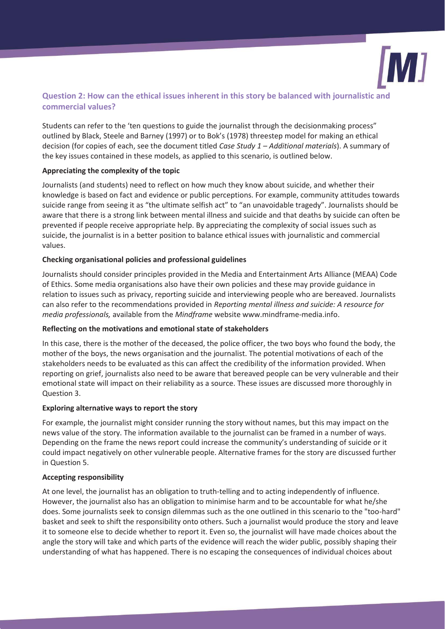

# **Question 2: How can the ethical issues inherent in this story be balanced with journalistic and commercial values?**

Students can refer to the 'ten questions to guide the journalist through the decisionmaking process" outlined by Black, Steele and Barney (1997) or to Bok's (1978) threestep model for making an ethical decision (for copies of each, see the document titled *Case Study 1 – Additional materials*). A summary of the key issues contained in these models, as applied to this scenario, is outlined below.

# **Appreciating the complexity of the topic**

Journalists (and students) need to reflect on how much they know about suicide, and whether their knowledge is based on fact and evidence or public perceptions. For example, community attitudes towards suicide range from seeing it as "the ultimate selfish act" to "an unavoidable tragedy". Journalists should be aware that there is a strong link between mental illness and suicide and that deaths by suicide can often be prevented if people receive appropriate help. By appreciating the complexity of social issues such as suicide, the journalist is in a better position to balance ethical issues with journalistic and commercial values.

#### **Checking organisational policies and professional guidelines**

Journalists should consider principles provided in the Media and Entertainment Arts Alliance (MEAA) Code of Ethics. Some media organisations also have their own policies and these may provide guidance in relation to issues such as privacy, reporting suicide and interviewing people who are bereaved. Journalists can also refer to the recommendations provided in *Reporting mental illness and suicide: A resource for media professionals,* available from the *Mindframe* website www.mindframe-media.info.

# **Reflecting on the motivations and emotional state of stakeholders**

In this case, there is the mother of the deceased, the police officer, the two boys who found the body, the mother of the boys, the news organisation and the journalist. The potential motivations of each of the stakeholders needs to be evaluated as this can affect the credibility of the information provided. When reporting on grief, journalists also need to be aware that bereaved people can be very vulnerable and their emotional state will impact on their reliability as a source. These issues are discussed more thoroughly in Question 3.

#### **Exploring alternative ways to report the story**

For example, the journalist might consider running the story without names, but this may impact on the news value of the story. The information available to the journalist can be framed in a number of ways. Depending on the frame the news report could increase the community's understanding of suicide or it could impact negatively on other vulnerable people. Alternative frames for the story are discussed further in Question 5.

#### **Accepting responsibility**

At one level, the journalist has an obligation to truth-telling and to acting independently of influence. However, the journalist also has an obligation to minimise harm and to be accountable for what he/she does. Some journalists seek to consign dilemmas such as the one outlined in this scenario to the "too-hard" basket and seek to shift the responsibility onto others. Such a journalist would produce the story and leave it to someone else to decide whether to report it. Even so, the journalist will have made choices about the angle the story will take and which parts of the evidence will reach the wider public, possibly shaping their understanding of what has happened. There is no escaping the consequences of individual choices about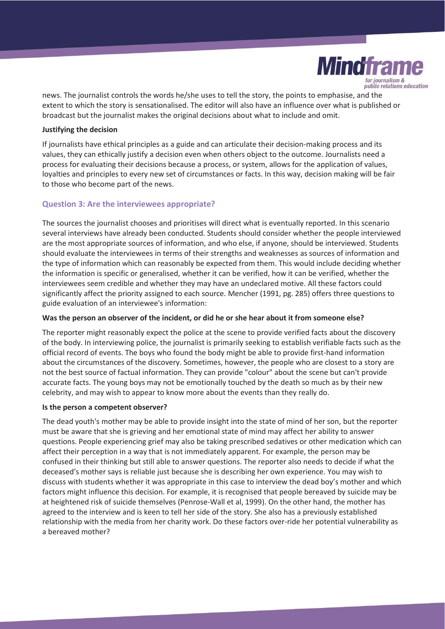

news. The journalist controls the words he/she uses to tell the story, the points to emphasise, and the extent to which the story is sensationalised. The editor will also have an influence over what is published or broadcast but the journalist makes the original decisions about what to include and omit.

#### **Justifying the decision**

If journalists have ethical principles as a guide and can articulate their decision-making process and its values, they can ethically justify a decision even when others object to the outcome. Journalists need a process for evaluating their decisions because a process, or system, allows for the application of values, loyalties and principles to every new set of circumstances or facts. In this way, decision making will be fair to those who become part of the news.

# **Question 3: Are the interviewees appropriate?**

The sources the journalist chooses and prioritises will direct what is eventually reported. In this scenario several interviews have already been conducted. Students should consider whether the people interviewed are the most appropriate sources of information, and who else, if anyone, should be interviewed. Students should evaluate the interviewees in terms of their strengths and weaknesses as sources of information and the type of information which can reasonably be expected from them. This would include deciding whether the information is specific or generalised, whether it can be verified, how it can be verified, whether the interviewees seem credible and whether they may have an undeclared motive. All these factors could significantly affect the priority assigned to each source. Mencher (1991, pg. 285) offers three questions to guide evaluation of an interviewee's information:

### **Was the person an observer of the incident, or did he or she hear about it from someone else?**

The reporter might reasonably expect the police at the scene to provide verified facts about the discovery of the body. In interviewing police, the journalist is primarily seeking to establish verifiable facts such as the official record of events. The boys who found the body might be able to provide first-hand information about the circumstances of the discovery. Sometimes, however, the people who are closest to a story are not the best source of factual information. They can provide "colour" about the scene but can't provide accurate facts. The young boys may not be emotionally touched by the death so much as by their new celebrity, and may wish to appear to know more about the events than they really do.

#### **Is the person a competent observer?**

The dead youth's mother may be able to provide insight into the state of mind of her son, but the reporter must be aware that she is grieving and her emotional state of mind may affect her ability to answer questions. People experiencing grief may also be taking prescribed sedatives or other medication which can affect their perception in a way that is not immediately apparent. For example, the person may be confused in their thinking but still able to answer questions. The reporter also needs to decide if what the deceased's mother says is reliable just because she is describing her own experience. You may wish to discuss with students whether it was appropriate in this case to interview the dead boy's mother and which factors might influence this decision. For example, it is recognised that people bereaved by suicide may be at heightened risk of suicide themselves (Penrose-Wall et al, 1999). On the other hand, the mother has agreed to the interview and is keen to tell her side of the story. She also has a previously established relationship with the media from her charity work. Do these factors over-ride her potential vulnerability as a bereaved mother?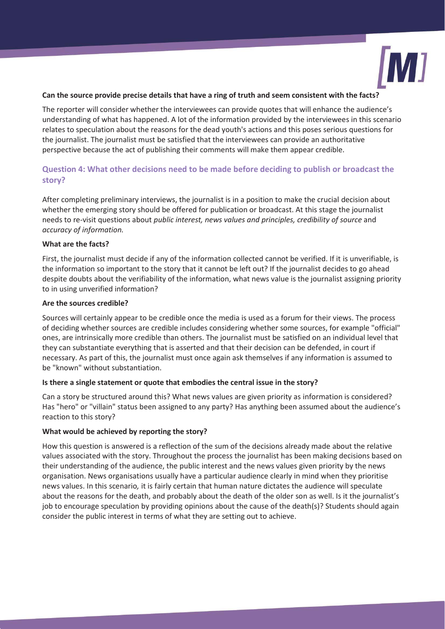

#### **Can the source provide precise details that have a ring of truth and seem consistent with the facts?**

The reporter will consider whether the interviewees can provide quotes that will enhance the audience's understanding of what has happened. A lot of the information provided by the interviewees in this scenario relates to speculation about the reasons for the dead youth's actions and this poses serious questions for the journalist. The journalist must be satisfied that the interviewees can provide an authoritative perspective because the act of publishing their comments will make them appear credible.

# **Question 4: What other decisions need to be made before deciding to publish or broadcast the story?**

After completing preliminary interviews, the journalist is in a position to make the crucial decision about whether the emerging story should be offered for publication or broadcast. At this stage the journalist needs to re-visit questions about *public interest, news values and principles, credibility of source* and *accuracy of information.*

#### **What are the facts?**

First, the journalist must decide if any of the information collected cannot be verified. If it is unverifiable, is the information so important to the story that it cannot be left out? If the journalist decides to go ahead despite doubts about the verifiability of the information, what news value is the journalist assigning priority to in using unverified information?

#### **Are the sources credible?**

Sources will certainly appear to be credible once the media is used as a forum for their views. The process of deciding whether sources are credible includes considering whether some sources, for example "official" ones, are intrinsically more credible than others. The journalist must be satisfied on an individual level that they can substantiate everything that is asserted and that their decision can be defended, in court if necessary. As part of this, the journalist must once again ask themselves if any information is assumed to be "known" without substantiation.

# **Is there a single statement or quote that embodies the central issue in the story?**

Can a story be structured around this? What news values are given priority as information is considered? Has "hero" or "villain" status been assigned to any party? Has anything been assumed about the audience's reaction to this story?

# **What would be achieved by reporting the story?**

How this question is answered is a reflection of the sum of the decisions already made about the relative values associated with the story. Throughout the process the journalist has been making decisions based on their understanding of the audience, the public interest and the news values given priority by the news organisation. News organisations usually have a particular audience clearly in mind when they prioritise news values. In this scenario*,* it is fairly certain that human nature dictates the audience will speculate about the reasons for the death, and probably about the death of the older son as well. Is it the journalist's job to encourage speculation by providing opinions about the cause of the death(s)? Students should again consider the public interest in terms of what they are setting out to achieve.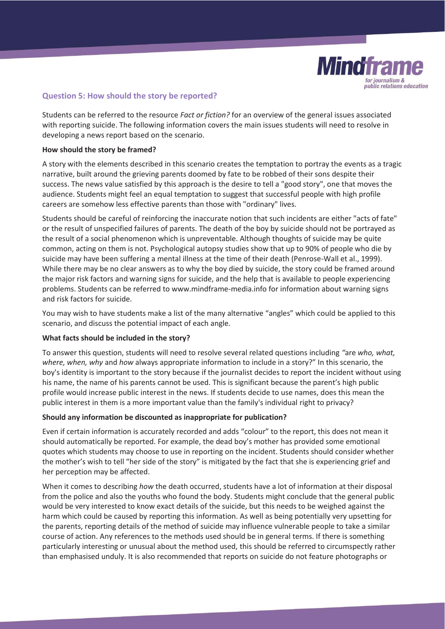

# **Question 5: How should the story be reported?**

Students can be referred to the resource *Fact or fiction?* for an overview of the general issues associated with reporting suicide. The following information covers the main issues students will need to resolve in developing a news report based on the scenario.

### **How should the story be framed?**

A story with the elements described in this scenario creates the temptation to portray the events as a tragic narrative, built around the grieving parents doomed by fate to be robbed of their sons despite their success. The news value satisfied by this approach is the desire to tell a "good story", one that moves the audience. Students might feel an equal temptation to suggest that successful people with high profile careers are somehow less effective parents than those with "ordinary" lives.

Students should be careful of reinforcing the inaccurate notion that such incidents are either "acts of fate" or the result of unspecified failures of parents. The death of the boy by suicide should not be portrayed as the result of a social phenomenon which is unpreventable. Although thoughts of suicide may be quite common, acting on them is not. Psychological autopsy studies show that up to 90% of people who die by suicide may have been suffering a mental illness at the time of their death (Penrose-Wall et al., 1999). While there may be no clear answers as to why the boy died by suicide, the story could be framed around the major risk factors and warning signs for suicide, and the help that is available to people experiencing problems. Students can be referred to www.mindframe-media.info for information about warning signs and risk factors for suicide.

You may wish to have students make a list of the many alternative "angles" which could be applied to this scenario, and discuss the potential impact of each angle.

# **What facts should be included in the story?**

To answer this question, students will need to resolve several related questions including *"*are *who, what, where, when, why* and *how* always appropriate information to include in a story?" In this scenario, the boy's identity is important to the story because if the journalist decides to report the incident without using his name, the name of his parents cannot be used. This is significant because the parent's high public profile would increase public interest in the news. If students decide to use names, does this mean the public interest in them is a more important value than the family's individual right to privacy?

# **Should any information be discounted as inappropriate for publication?**

Even if certain information is accurately recorded and adds "colour" to the report, this does not mean it should automatically be reported. For example, the dead boy's mother has provided some emotional quotes which students may choose to use in reporting on the incident. Students should consider whether the mother's wish to tell "her side of the story" is mitigated by the fact that she is experiencing grief and her perception may be affected.

When it comes to describing *how* the death occurred, students have a lot of information at their disposal from the police and also the youths who found the body. Students might conclude that the general public would be very interested to know exact details of the suicide, but this needs to be weighed against the harm which could be caused by reporting this information. As well as being potentially very upsetting for the parents, reporting details of the method of suicide may influence vulnerable people to take a similar course of action. Any references to the methods used should be in general terms. If there is something particularly interesting or unusual about the method used, this should be referred to circumspectly rather than emphasised unduly. It is also recommended that reports on suicide do not feature photographs or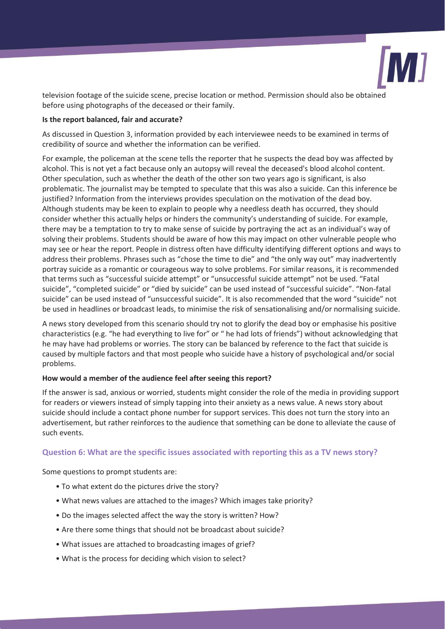

television footage of the suicide scene, precise location or method. Permission should also be obtained before using photographs of the deceased or their family.

### **Is the report balanced, fair and accurate?**

As discussed in Question 3, information provided by each interviewee needs to be examined in terms of credibility of source and whether the information can be verified.

For example, the policeman at the scene tells the reporter that he suspects the dead boy was affected by alcohol. This is not yet a fact because only an autopsy will reveal the deceased's blood alcohol content. Other speculation, such as whether the death of the other son two years ago is significant, is also problematic. The journalist may be tempted to speculate that this was also a suicide. Can this inference be justified? Information from the interviews provides speculation on the motivation of the dead boy. Although students may be keen to explain to people why a needless death has occurred, they should consider whether this actually helps or hinders the community's understanding of suicide. For example, there may be a temptation to try to make sense of suicide by portraying the act as an individual's way of solving their problems. Students should be aware of how this may impact on other vulnerable people who may see or hear the report. People in distress often have difficulty identifying different options and ways to address their problems. Phrases such as "chose the time to die" and "the only way out" may inadvertently portray suicide as a romantic or courageous way to solve problems. For similar reasons, it is recommended that terms such as "successful suicide attempt" or "unsuccessful suicide attempt" not be used. "Fatal suicide", "completed suicide" or "died by suicide" can be used instead of "successful suicide". "Non-fatal suicide" can be used instead of "unsuccessful suicide". It is also recommended that the word "suicide" not be used in headlines or broadcast leads, to minimise the risk of sensationalising and/or normalising suicide.

A news story developed from this scenario should try not to glorify the dead boy or emphasise his positive characteristics (e.g. "he had everything to live for" or " he had lots of friends") without acknowledging that he may have had problems or worries. The story can be balanced by reference to the fact that suicide is caused by multiple factors and that most people who suicide have a history of psychological and/or social problems.

# **How would a member of the audience feel after seeing this report?**

If the answer is sad, anxious or worried, students might consider the role of the media in providing support for readers or viewers instead of simply tapping into their anxiety as a news value. A news story about suicide should include a contact phone number for support services. This does not turn the story into an advertisement, but rather reinforces to the audience that something can be done to alleviate the cause of such events.

# **Question 6: What are the specific issues associated with reporting this as a TV news story?**

Some questions to prompt students are:

- To what extent do the pictures drive the story?
- What news values are attached to the images? Which images take priority?
- Do the images selected affect the way the story is written? How?
- Are there some things that should not be broadcast about suicide?
- What issues are attached to broadcasting images of grief?
- What is the process for deciding which vision to select?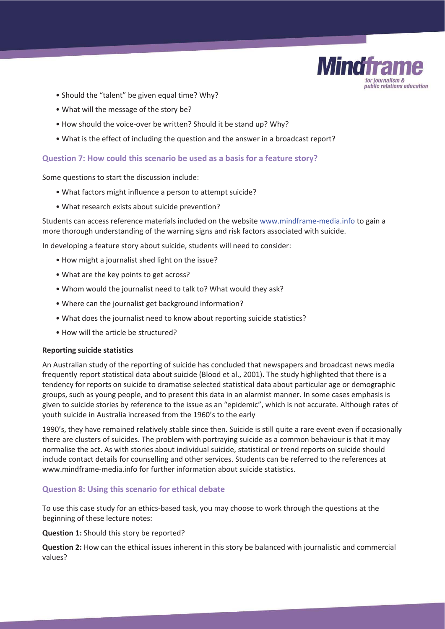

- Should the "talent" be given equal time? Why?
- What will the message of the story be?
- How should the voice-over be written? Should it be stand up? Why?
- What is the effect of including the question and the answer in a broadcast report?

# **Question 7: How could this scenario be used as a basis for a feature story?**

Some questions to start the discussion include:

- What factors might influence a person to attempt suicide?
- What research exists about suicide prevention?

Students can access reference materials included on the website www.mindframe-media.info to gain a more thorough understanding of the warning signs and risk factors associated with suicide.

In developing a feature story about suicide, students will need to consider:

- How might a journalist shed light on the issue?
- What are the key points to get across?
- Whom would the journalist need to talk to? What would they ask?
- Where can the journalist get background information?
- What does the journalist need to know about reporting suicide statistics?
- How will the article be structured?

#### **Reporting suicide statistics**

An Australian study of the reporting of suicide has concluded that newspapers and broadcast news media frequently report statistical data about suicide (Blood et al., 2001). The study highlighted that there is a tendency for reports on suicide to dramatise selected statistical data about particular age or demographic groups, such as young people, and to present this data in an alarmist manner. In some cases emphasis is given to suicide stories by reference to the issue as an "epidemic", which is not accurate. Although rates of youth suicide in Australia increased from the 1960's to the early

1990's, they have remained relatively stable since then. Suicide is still quite a rare event even if occasionally there are clusters of suicides. The problem with portraying suicide as a common behaviour is that it may normalise the act. As with stories about individual suicide, statistical or trend reports on suicide should include contact details for counselling and other services. Students can be referred to the references at www.mindframe-media.info for further information about suicide statistics.

# **Question 8: Using this scenario for ethical debate**

To use this case study for an ethics-based task, you may choose to work through the questions at the beginning of these lecture notes:

#### **Question 1:** Should this story be reported?

**Question 2:** How can the ethical issues inherent in this story be balanced with journalistic and commercial values?